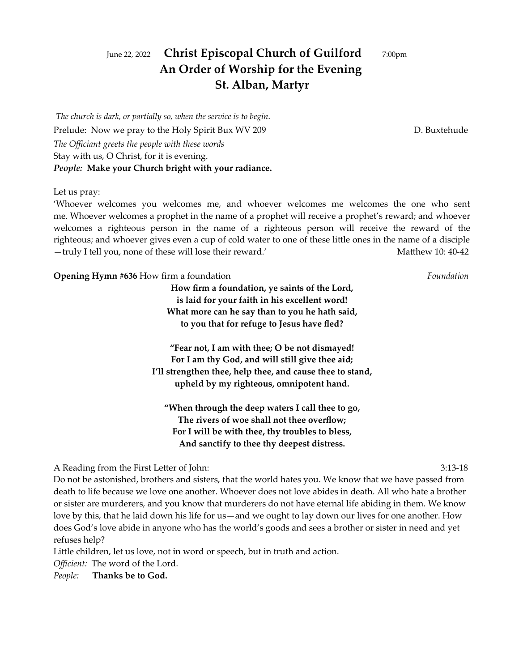# June 22, 2022 **Christ Episcopal Church of Guilford** 7:00pm **An Order of Worship for the Evening St. Alban, Martyr**

*The church is dark, or partially so, when the service is to begin.* Prelude: Now we pray to the Holy Spirit Bux WV 209 D. Buxtehude *The Officiant greets the people with these words* Stay with us, O Christ, for it is evening. *People:* **Make your Church bright with your radiance.**

Let us pray:

'Whoever welcomes you welcomes me, and whoever welcomes me welcomes the one who sent me. Whoever welcomes a prophet in the name of a prophet will receive a prophet's reward; and whoever welcomes a righteous person in the name of a righteous person will receive the reward of the righteous; and whoever gives even a cup of cold water to one of these little ones in the name of a disciple —truly I tell you, none of these will lose their reward.' Matthew 10:40-42

**Opening Hymn #636** How firm a foundation *Foundation*

**How firm a foundation, ye saints of the Lord, is laid for your faith in his excellent word! What more can he say than to you he hath said, to you that for refuge to Jesus have fled?**

**"Fear not, I am with thee; O be not dismayed! For I am thy God, and will still give thee aid; I'll strengthen thee, help thee, and cause thee to stand, upheld by my righteous, omnipotent hand.**

**"When through the deep waters I call thee to go, The rivers of woe shall not thee overflow; For I will be with thee, thy troubles to bless, And sanctify to thee thy deepest distress.**

A Reading from the First Letter of John: 3:13-18

Do not be astonished, brothers and sisters, that the world hates you. We know that we have passed from death to life because we love one another. Whoever does not love abides in death. All who hate a brother or sister are murderers, and you know that murderers do not have eternal life abiding in them. We know love by this, that he laid down his life for us—and we ought to lay down our lives for one another. How does God's love abide in anyone who has the world's goods and sees a brother or sister in need and yet refuses help?

Little children, let us love, not in word or speech, but in truth and action.

*Officient:* The word of the Lord.

*People:* **Thanks be to God.**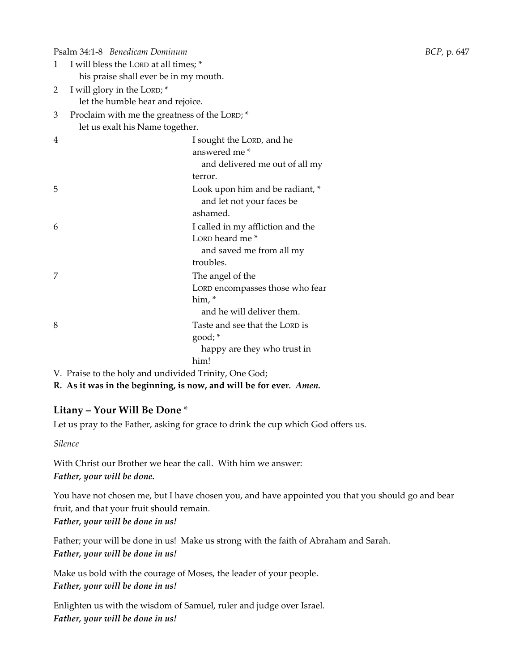Psalm 34:1-8 *Benedicam Dominum BCP,* p. 647 1 I will bless the LORD at all times; \* his praise shall ever be in my mouth. 2 I will glory in the LORD; \* let the humble hear and rejoice. 3 Proclaim with me the greatness of the LORD; \* let us exalt his Name together. 4 I sought the LORD, and he answered me \* and delivered me out of all my terror. 5 Look upon him and be radiant, \* and let not your faces be ashamed. 6 I called in my affliction and the LORD heard me \* and saved me from all my troubles. 7 The angel of the LORD encompasses those who fear him, \* and he will deliver them. 8 Taste and see that the LORD is good; \* happy are they who trust in him!

V. Praise to the holy and undivided Trinity, One God;

**R. As it was in the beginning, is now, and will be for ever***. Amen.*

## **Litany – Your Will Be Done** \*

Let us pray to the Father, asking for grace to drink the cup which God offers us.

*Silence*

With Christ our Brother we hear the call. With him we answer: *Father, your will be done.*

You have not chosen me, but I have chosen you, and have appointed you that you should go and bear fruit, and that your fruit should remain. *Father, your will be done in us!* 

Father; your will be done in us! Make us strong with the faith of Abraham and Sarah. *Father, your will be done in us!* 

Make us bold with the courage of Moses, the leader of your people. *Father, your will be done in us!* 

Enlighten us with the wisdom of Samuel, ruler and judge over Israel. *Father, your will be done in us!*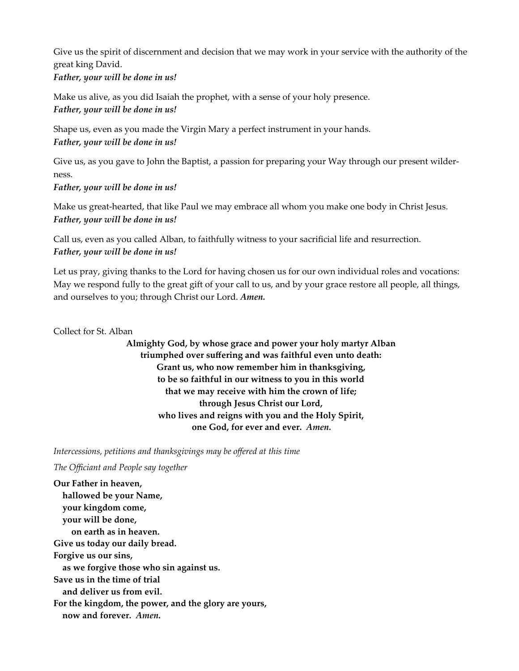Give us the spirit of discernment and decision that we may work in your service with the authority of the great king David. *Father, your will be done in us!* 

Make us alive, as you did Isaiah the prophet, with a sense of your holy presence. *Father, your will be done in us!* 

Shape us, even as you made the Virgin Mary a perfect instrument in your hands. *Father, your will be done in us!* 

Give us, as you gave to John the Baptist, a passion for preparing your Way through our present wilderness.

*Father, your will be done in us!* 

Make us great-hearted, that like Paul we may embrace all whom you make one body in Christ Jesus. *Father, your will be done in us!* 

Call us, even as you called Alban, to faithfully witness to your sacrificial life and resurrection. *Father, your will be done in us!* 

Let us pray, giving thanks to the Lord for having chosen us for our own individual roles and vocations: May we respond fully to the great gift of your call to us, and by your grace restore all people, all things, and ourselves to you; through Christ our Lord. *Amen.*

Collect for St. Alban

**Almighty God, by whose grace and power your holy martyr Alban triumphed over suffering and was faithful even unto death: Grant us, who now remember him in thanksgiving, to be so faithful in our witness to you in this world that we may receive with him the crown of life; through Jesus Christ our Lord, who lives and reigns with you and the Holy Spirit, one God, for ever and ever.** *Amen.*

*Intercessions, petitions and thanksgivings may be offered at this time*

*The Officiant and People say together* 

**Our Father in heaven, hallowed be your Name, your kingdom come, your will be done, on earth as in heaven. Give us today our daily bread. Forgive us our sins, as we forgive those who sin against us. Save us in the time of trial and deliver us from evil. For the kingdom, the power, and the glory are yours, now and forever.** *Amen.*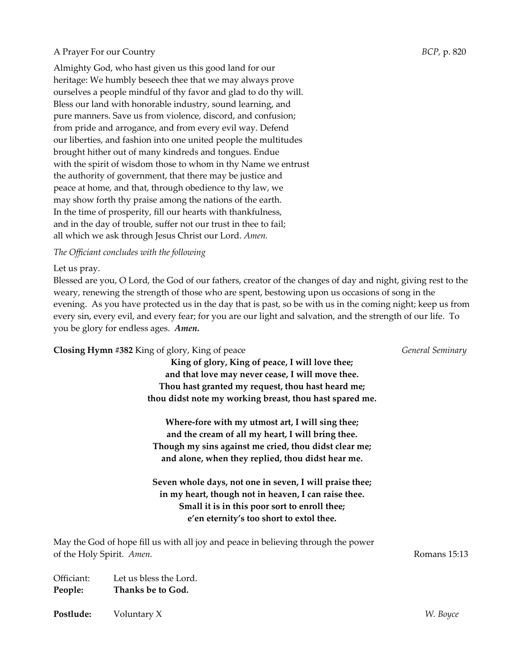#### A Prayer For our Country *BCP,* p. 820

Almighty God, who hast given us this good land for our heritage: We humbly beseech thee that we may always prove ourselves a people mindful of thy favor and glad to do thy will. Bless our land with honorable industry, sound learning, and pure manners. Save us from violence, discord, and confusion; from pride and arrogance, and from every evil way. Defend our liberties, and fashion into one united people the multitudes brought hither out of many kindreds and tongues. Endue with the spirit of wisdom those to whom in thy Name we entrust the authority of government, that there may be justice and peace at home, and that, through obedience to thy law, we may show forth thy praise among the nations of the earth. In the time of prosperity, fill our hearts with thankfulness, and in the day of trouble, suffer not our trust in thee to fail; all which we ask through Jesus Christ our Lord. *Amen.*

*The Officiant concludes with the following* 

Let us pray.

Blessed are you, O Lord, the God of our fathers, creator of the changes of day and night, giving rest to the weary, renewing the strength of those who are spent, bestowing upon us occasions of song in the evening. As you have protected us in the day that is past, so be with us in the coming night; keep us from every sin, every evil, and every fear; for you are our light and salvation, and the strength of our life. To you be glory for endless ages. *Amen.*

**Closing Hymn #382** King of glory, King of peace *General Seminary* **King of glory, King of peace, I will love thee; and that love may never cease, I will move thee. Thou hast granted my request, thou hast heard me; thou didst note my working breast, thou hast spared me. Where-fore with my utmost art, I will sing thee; and the cream of all my heart, I will bring thee. Though my sins against me cried, thou didst clear me; and alone, when they replied, thou didst hear me. Seven whole days, not one in seven, I will praise thee; in my heart, though not in heaven, I can raise thee. Small it is in this poor sort to enroll thee; e'en eternity's too short to extol thee.** May the God of hope fill us with all joy and peace in believing through the power of the Holy Spirit. *Amen.* Romans 15:13 Officiant: Let us bless the Lord. **People: Thanks be to God. Postlude:** Voluntary X *W. Boyce*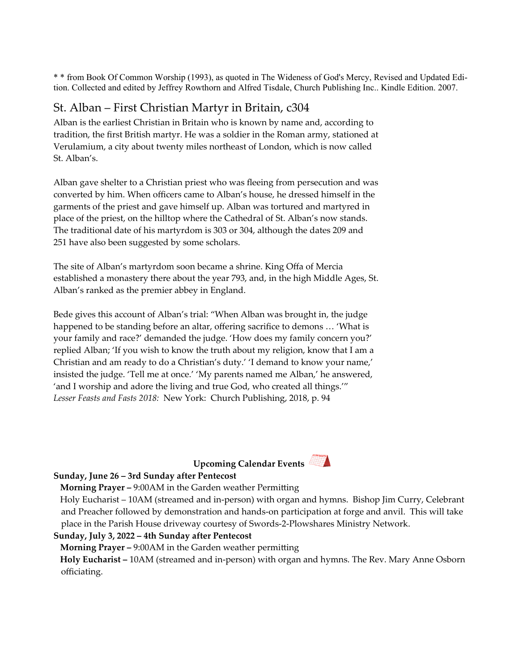\* \* from Book Of Common Worship (1993), as quoted in The Wideness of God's Mercy, Revised and Updated Edition. Collected and edited by Jeffrey Rowthorn and Alfred Tisdale, Church Publishing Inc.. Kindle Edition. 2007.

## St. Alban – First Christian Martyr in Britain, c304

Alban is the earliest Christian in Britain who is known by name and, according to tradition, the first British martyr. He was a soldier in the Roman army, stationed at Verulamium, a city about twenty miles northeast of London, which is now called St. Alban's.

Alban gave shelter to a Christian priest who was fleeing from persecution and was converted by him. When officers came to Alban's house, he dressed himself in the garments of the priest and gave himself up. Alban was tortured and martyred in place of the priest, on the hilltop where the Cathedral of St. Alban's now stands. The traditional date of his martyrdom is 303 or 304, although the dates 209 and 251 have also been suggested by some scholars.

The site of Alban's martyrdom soon became a shrine. King Offa of Mercia established a monastery there about the year 793, and, in the high Middle Ages, St. Alban's ranked as the premier abbey in England.

Bede gives this account of Alban's trial: "When Alban was brought in, the judge happened to be standing before an altar, offering sacrifice to demons … 'What is your family and race?' demanded the judge. 'How does my family concern you?' replied Alban; 'If you wish to know the truth about my religion, know that I am a Christian and am ready to do a Christian's duty.' 'I demand to know your name,' insisted the judge. 'Tell me at once.' 'My parents named me Alban,' he answered, 'and I worship and adore the living and true God, who created all things.'" *Lesser Feasts and Fasts 2018:* New York: Church Publishing, 2018, p. 94





## **Sunday, June 26 – 3rd Sunday after Pentecost**

#### **Morning Prayer –** 9:00AM in the Garden weather Permitting

 Holy Eucharist – 10AM (streamed and in-person) with organ and hymns. Bishop Jim Curry, Celebrant and Preacher followed by demonstration and hands-on participation at forge and anvil. This will take place in the Parish House driveway courtesy of Swords-2-Plowshares Ministry Network.

## **Sunday, July 3, 2022 – 4th Sunday after Pentecost**

 **Morning Prayer –** 9:00AM in the Garden weather permitting

 **Holy Eucharist –** 10AM (streamed and in-person) with organ and hymns. The Rev. Mary Anne Osborn officiating.